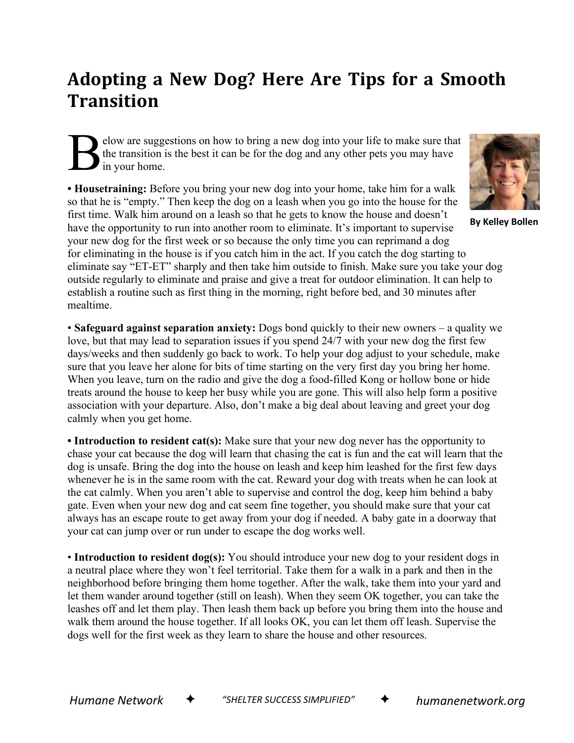## **Adopting a New Dog? Here Are Tips for a Smooth Transition**

elow are suggestions on how to bring a new dog into your life to make sure that the transition is the best it can be for the dog and any other pets you may have in your home. B

**• Housetraining:** Before you bring your new dog into your home, take him for a walk so that he is "empty." Then keep the dog on a leash when you go into the house for the first time. Walk him around on a leash so that he gets to know the house and doesn't have the opportunity to run into another room to eliminate. It's important to supervise your new dog for the first week or so because the only time you can reprimand a dog for eliminating in the house is if you catch him in the act. If you catch the dog starting to eliminate say "ET-ET" sharply and then take him outside to finish. Make sure you take your dog outside regularly to eliminate and praise and give a treat for outdoor elimination. It can help to establish a routine such as first thing in the morning, right before bed, and 30 minutes after mealtime.

• **Safeguard against separation anxiety:** Dogs bond quickly to their new owners – a quality we love, but that may lead to separation issues if you spend 24/7 with your new dog the first few days/weeks and then suddenly go back to work. To help your dog adjust to your schedule, make sure that you leave her alone for bits of time starting on the very first day you bring her home. When you leave, turn on the radio and give the dog a food-filled Kong or hollow bone or hide treats around the house to keep her busy while you are gone. This will also help form a positive association with your departure. Also, don't make a big deal about leaving and greet your dog calmly when you get home.

• Introduction to resident cat(s): Make sure that your new dog never has the opportunity to chase your cat because the dog will learn that chasing the cat is fun and the cat will learn that the dog is unsafe. Bring the dog into the house on leash and keep him leashed for the first few days whenever he is in the same room with the cat. Reward your dog with treats when he can look at the cat calmly. When you aren't able to supervise and control the dog, keep him behind a baby gate. Even when your new dog and cat seem fine together, you should make sure that your cat always has an escape route to get away from your dog if needed. A baby gate in a doorway that your cat can jump over or run under to escape the dog works well.

• **Introduction to resident dog(s):** You should introduce your new dog to your resident dogs in a neutral place where they won't feel territorial. Take them for a walk in a park and then in the neighborhood before bringing them home together. After the walk, take them into your yard and let them wander around together (still on leash). When they seem OK together, you can take the leashes off and let them play. Then leash them back up before you bring them into the house and walk them around the house together. If all looks OK, you can let them off leash. Supervise the dogs well for the first week as they learn to share the house and other resources.



**By Kelley Bollen**